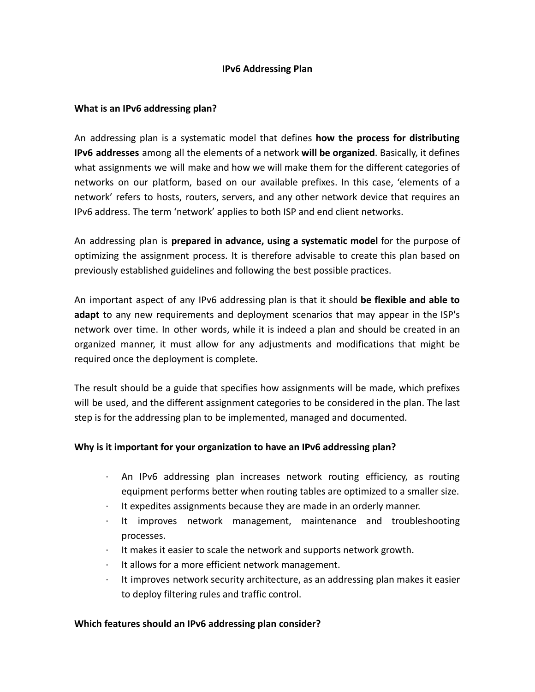## **IPv6 Addressing Plan**

## **What is an IPv6 addressing plan?**

An addressing plan is a systematic model that defines **how the process for distributing IPv6 addresses** among all the elements of a network **will be organized**. Basically, it defines what assignments we will make and how we will make them for the different categories of networks on our platform, based on our available prefixes. In this case, 'elements of a network' refers to hosts, routers, servers, and any other network device that requires an IPv6 address. The term 'network' applies to both ISP and end client networks.

An addressing plan is **prepared in advance, using a systematic model** for the purpose of optimizing the assignment process. It is therefore advisable to create this plan based on previously established guidelines and following the best possible practices.

An important aspect of any IPv6 addressing plan is that it should **be flexible and able to adapt** to any new requirements and deployment scenarios that may appear in the ISP's network over time. In other words, while it is indeed a plan and should be created in an organized manner, it must allow for any adjustments and modifications that might be required once the deployment is complete.

The result should be a guide that specifies how assignments will be made, which prefixes will be used, and the different assignment categories to be considered in the plan. The last step is for the addressing plan to be implemented, managed and documented.

## **Why is it important for your organization to have an IPv6 addressing plan?**

- · An IPv6 addressing plan increases network routing efficiency, as routing equipment performs better when routing tables are optimized to a smaller size.
- It expedites assignments because they are made in an orderly manner.
- It improves network management, maintenance and troubleshooting processes.
- It makes it easier to scale the network and supports network growth.
- It allows for a more efficient network management.
- It improves network security architecture, as an addressing plan makes it easier to deploy filtering rules and traffic control.

## **Which features should an IPv6 addressing plan consider?**